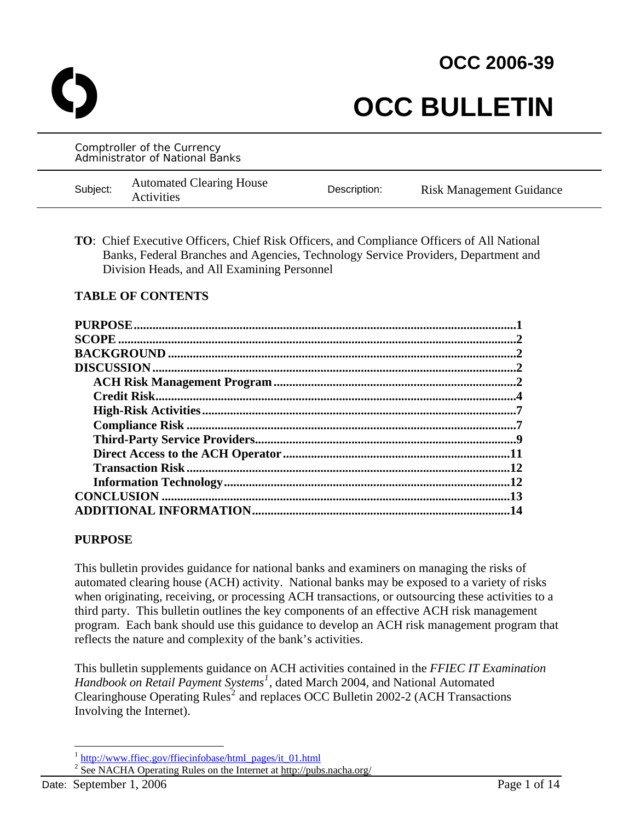**OCC 2006-39**

# **OCC BULLETIN**

Comptroller of the Currency Administrator of National Banks Subject: Automated Clearing House<br>Activities Description: Risk Management Guidance

**TO**: Chief Executive Officers, Chief Risk Officers, and Compliance Officers of All National Banks, Federal Branches and Agencies, Technology Service Providers, Department and Division Heads, and All Examining Personnel

# **TABLE OF CONTENTS**

| $\cdot$ 2 |
|-----------|
|           |
|           |
|           |
|           |
|           |
|           |
|           |
| .11       |
| .12       |
|           |
| .13       |
|           |

#### **PURPOSE**

This bulletin provides guidance for national banks and examiners on managing the risks of automated clearing house (ACH) activity. National banks may be exposed to a variety of risks when originating, receiving, or processing ACH transactions, or outsourcing these activities to a third party. This bulletin outlines the key components of an effective ACH risk management program. Each bank should use this guidance to develop an ACH risk management program that reflects the nature and complexity of the bank's activities.

This bulletin supplements guidance on ACH activities contained in the *FFIEC IT Examination Handbook on Retail Payment Systems[1](#page-0-0)* , dated March 2004, and National Automated Clearinghouse Operating Rules<sup>[2](#page-0-1)</sup> and replaces OCC Bulletin 2002-2 (ACH Transactions Involving the Internet).

<sup>&</sup>lt;sup>1</sup> [http://www.ffiec.gov/ffiecinfobase/html\\_pages/it\\_01.html](http://www.ffiec.gov/ffiecinfobase/html_pages/it_01.html)

<span id="page-0-1"></span><span id="page-0-0"></span><sup>&</sup>lt;sup>2</sup> See NACHA Operating Rules on the Internet at http://pubs.nacha.org/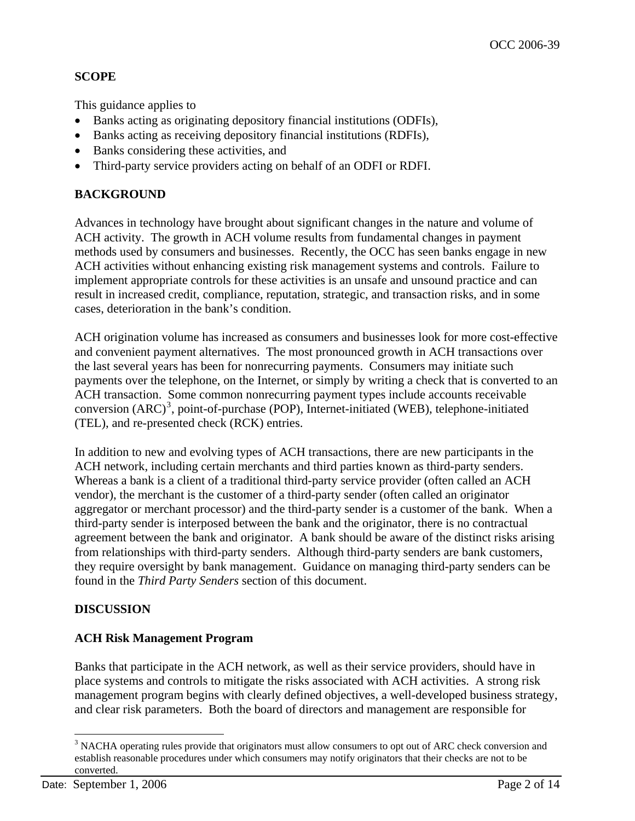# **SCOPE**

This guidance applies to

- Banks acting as originating depository financial institutions (ODFIs),
- Banks acting as receiving depository financial institutions (RDFIs),
- Banks considering these activities, and
- Third-party service providers acting on behalf of an ODFI or RDFI.

# **BACKGROUND**

Advances in technology have brought about significant changes in the nature and volume of ACH activity. The growth in ACH volume results from fundamental changes in payment methods used by consumers and businesses. Recently, the OCC has seen banks engage in new ACH activities without enhancing existing risk management systems and controls. Failure to implement appropriate controls for these activities is an unsafe and unsound practice and can result in increased credit, compliance, reputation, strategic, and transaction risks, and in some cases, deterioration in the bank's condition.

ACH origination volume has increased as consumers and businesses look for more cost-effective and convenient payment alternatives. The most pronounced growth in ACH transactions over the last several years has been for nonrecurring payments. Consumers may initiate such payments over the telephone, on the Internet, or simply by writing a check that is converted to an ACH transaction. Some common nonrecurring payment types include accounts receivable conversion  $(ARC)^3$  $(ARC)^3$ , point-of-purchase (POP), Internet-initiated (WEB), telephone-initiated (TEL), and re-presented check (RCK) entries.

In addition to new and evolving types of ACH transactions, there are new participants in the ACH network, including certain merchants and third parties known as third-party senders. Whereas a bank is a client of a traditional third-party service provider (often called an ACH vendor), the merchant is the customer of a third-party sender (often called an originator aggregator or merchant processor) and the third-party sender is a customer of the bank. When a third-party sender is interposed between the bank and the originator, there is no contractual agreement between the bank and originator. A bank should be aware of the distinct risks arising from relationships with third-party senders. Although third-party senders are bank customers, they require oversight by bank management. Guidance on managing third-party senders can be found in the *Third Party Senders* section of this document.

# **DISCUSSION**

# **ACH Risk Management Program**

Banks that participate in the ACH network, as well as their service providers, should have in place systems and controls to mitigate the risks associated with ACH activities. A strong risk management program begins with clearly defined objectives, a well-developed business strategy, and clear risk parameters. Both the board of directors and management are responsible for

<span id="page-1-0"></span><sup>&</sup>lt;sup>3</sup> NACHA operating rules provide that originators must allow consumers to opt out of ARC check conversion and establish reasonable procedures under which consumers may notify originators that their checks are not to be converted.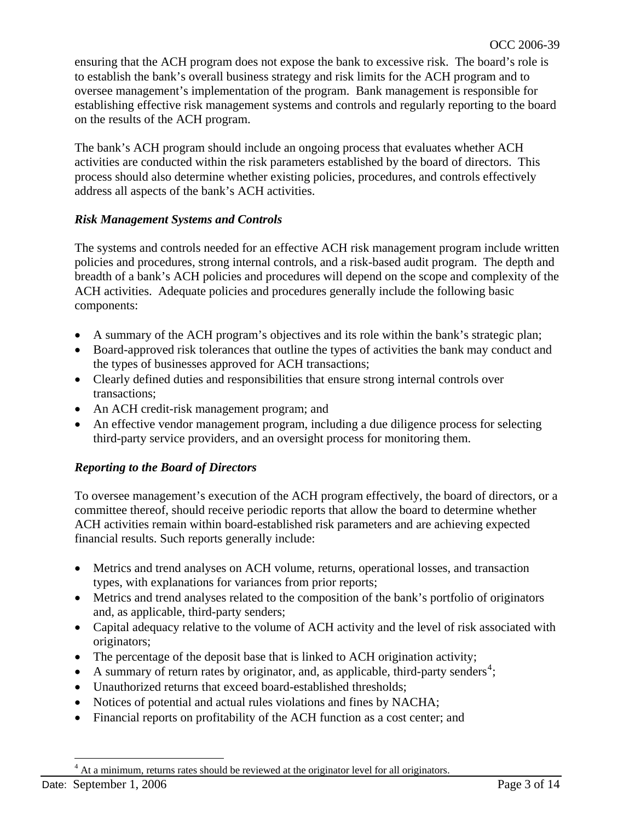ensuring that the ACH program does not expose the bank to excessive risk. The board's role is to establish the bank's overall business strategy and risk limits for the ACH program and to oversee management's implementation of the program. Bank management is responsible for establishing effective risk management systems and controls and regularly reporting to the board on the results of the ACH program.

The bank's ACH program should include an ongoing process that evaluates whether ACH activities are conducted within the risk parameters established by the board of directors. This process should also determine whether existing policies, procedures, and controls effectively address all aspects of the bank's ACH activities.

### *Risk Management Systems and Controls*

The systems and controls needed for an effective ACH risk management program include written policies and procedures, strong internal controls, and a risk-based audit program. The depth and breadth of a bank's ACH policies and procedures will depend on the scope and complexity of the ACH activities. Adequate policies and procedures generally include the following basic components:

- A summary of the ACH program's objectives and its role within the bank's strategic plan;
- Board-approved risk tolerances that outline the types of activities the bank may conduct and the types of businesses approved for ACH transactions;
- Clearly defined duties and responsibilities that ensure strong internal controls over transactions;
- An ACH credit-risk management program; and
- An effective vendor management program, including a due diligence process for selecting third-party service providers, and an oversight process for monitoring them.

# *Reporting to the Board of Directors*

To oversee management's execution of the ACH program effectively, the board of directors, or a committee thereof, should receive periodic reports that allow the board to determine whether ACH activities remain within board-established risk parameters and are achieving expected financial results. Such reports generally include:

- Metrics and trend analyses on ACH volume, returns, operational losses, and transaction types, with explanations for variances from prior reports;
- Metrics and trend analyses related to the composition of the bank's portfolio of originators and, as applicable, third-party senders;
- Capital adequacy relative to the volume of ACH activity and the level of risk associated with originators;
- The percentage of the deposit base that is linked to ACH origination activity;
- A summary of return rates by originator, and, as applicable, third-party senders<sup>[4](#page-2-0)</sup>;
- Unauthorized returns that exceed board-established thresholds;
- Notices of potential and actual rules violations and fines by NACHA;
- Financial reports on profitability of the ACH function as a cost center; and

<span id="page-2-0"></span>4 At a minimum, returns rates should be reviewed at the originator level for all originators.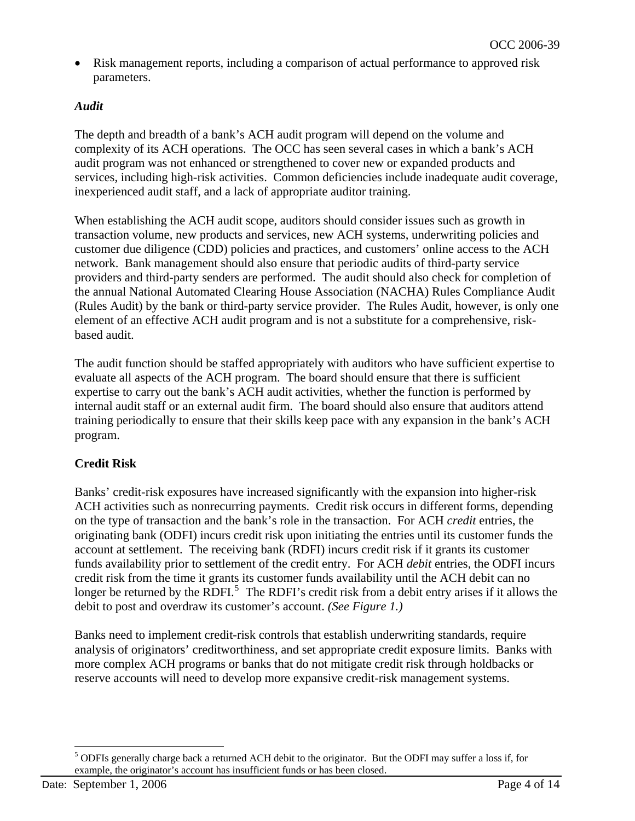• Risk management reports, including a comparison of actual performance to approved risk parameters.

# *Audit*

The depth and breadth of a bank's ACH audit program will depend on the volume and complexity of its ACH operations. The OCC has seen several cases in which a bank's ACH audit program was not enhanced or strengthened to cover new or expanded products and services, including high-risk activities. Common deficiencies include inadequate audit coverage, inexperienced audit staff, and a lack of appropriate auditor training.

When establishing the ACH audit scope, auditors should consider issues such as growth in transaction volume, new products and services, new ACH systems, underwriting policies and customer due diligence (CDD) policies and practices, and customers' online access to the ACH network. Bank management should also ensure that periodic audits of third-party service providers and third-party senders are performed. The audit should also check for completion of the annual National Automated Clearing House Association (NACHA) Rules Compliance Audit (Rules Audit) by the bank or third-party service provider. The Rules Audit, however, is only one element of an effective ACH audit program and is not a substitute for a comprehensive, riskbased audit.

The audit function should be staffed appropriately with auditors who have sufficient expertise to evaluate all aspects of the ACH program. The board should ensure that there is sufficient expertise to carry out the bank's ACH audit activities, whether the function is performed by internal audit staff or an external audit firm. The board should also ensure that auditors attend training periodically to ensure that their skills keep pace with any expansion in the bank's ACH program.

# **Credit Risk**

Banks' credit-risk exposures have increased significantly with the expansion into higher-risk ACH activities such as nonrecurring payments. Credit risk occurs in different forms, depending on the type of transaction and the bank's role in the transaction. For ACH *credit* entries, the originating bank (ODFI) incurs credit risk upon initiating the entries until its customer funds the account at settlement. The receiving bank (RDFI) incurs credit risk if it grants its customer funds availability prior to settlement of the credit entry. For ACH *debit* entries, the ODFI incurs credit risk from the time it grants its customer funds availability until the ACH debit can no longer be returned by the RDFI.<sup>[5](#page-3-0)</sup> The RDFI's credit risk from a debit entry arises if it allows the debit to post and overdraw its customer's account. *(See Figure 1.)*

Banks need to implement credit-risk controls that establish underwriting standards, require analysis of originators' creditworthiness, and set appropriate credit exposure limits. Banks with more complex ACH programs or banks that do not mitigate credit risk through holdbacks or reserve accounts will need to develop more expansive credit-risk management systems.

<span id="page-3-0"></span> $\overline{a}$ <sup>5</sup> ODFIs generally charge back a returned ACH debit to the originator. But the ODFI may suffer a loss if, for example, the originator's account has insufficient funds or has been closed.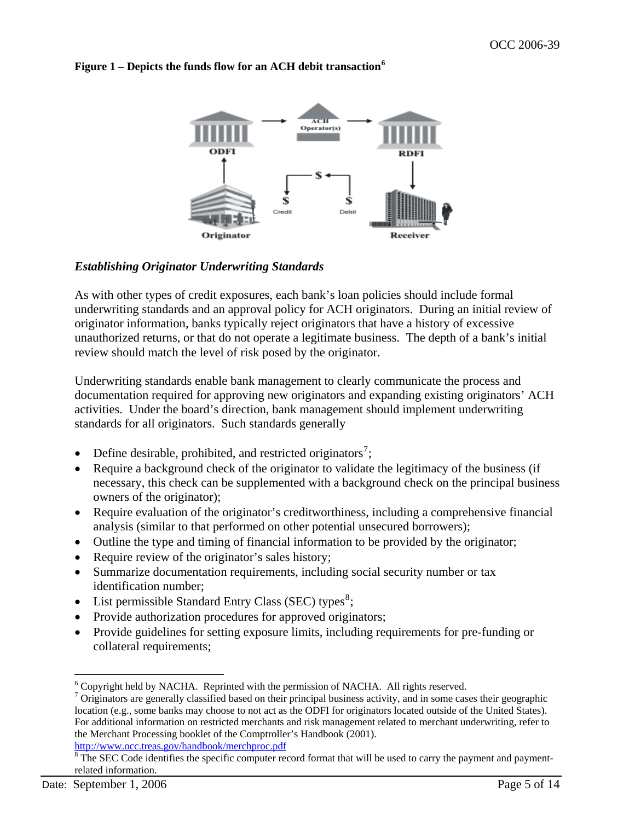

#### **Figure 1 – Depicts the funds flow for an ACH debit transaction[6](#page-4-0)**

### *Establishing Originator Underwriting Standards*

As with other types of credit exposures, each bank's loan policies should include formal underwriting standards and an approval policy for ACH originators. During an initial review of originator information, banks typically reject originators that have a history of excessive unauthorized returns, or that do not operate a legitimate business. The depth of a bank's initial review should match the level of risk posed by the originator.

Underwriting standards enable bank management to clearly communicate the process and documentation required for approving new originators and expanding existing originators' ACH activities. Under the board's direction, bank management should implement underwriting standards for all originators. Such standards generally

- Define desirable, prohibited, and restricted originators<sup>[7](#page-4-1)</sup>;
- Require a background check of the originator to validate the legitimacy of the business (if necessary, this check can be supplemented with a background check on the principal business owners of the originator);
- Require evaluation of the originator's creditworthiness, including a comprehensive financial analysis (similar to that performed on other potential unsecured borrowers);
- Outline the type and timing of financial information to be provided by the originator;
- Require review of the originator's sales history;
- Summarize documentation requirements, including social security number or tax identification number;
- List permissible Standard Entry Class (SEC) types<sup>[8](#page-4-2)</sup>;
- Provide authorization procedures for approved originators;
- Provide guidelines for setting exposure limits, including requirements for pre-funding or collateral requirements;

 6 Copyright held by NACHA. Reprinted with the permission of NACHA. All rights reserved.

<span id="page-4-1"></span><span id="page-4-0"></span> $\sigma$ <sup>7</sup> Originators are generally classified based on their principal business activity, and in some cases their geographic location (e.g., some banks may choose to not act as the ODFI for originators located outside of the United States). For additional information on restricted merchants and risk management related to merchant underwriting, refer to the Merchant Processing booklet of the Comptroller's Handbook (2001). <http://www.occ.treas.gov/handbook/merchproc.pdf>

<span id="page-4-2"></span><sup>&</sup>lt;sup>8</sup> The SEC Code identifies the specific computer record format that will be used to carry the payment and paymentrelated information.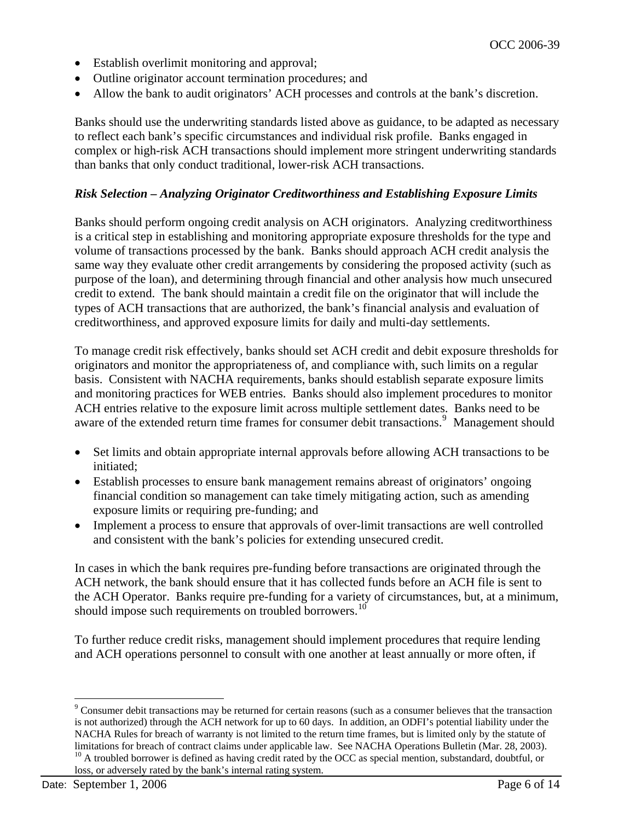- Establish overlimit monitoring and approval;
- Outline originator account termination procedures; and
- Allow the bank to audit originators' ACH processes and controls at the bank's discretion.

Banks should use the underwriting standards listed above as guidance, to be adapted as necessary to reflect each bank's specific circumstances and individual risk profile. Banks engaged in complex or high-risk ACH transactions should implement more stringent underwriting standards than banks that only conduct traditional, lower-risk ACH transactions.

### *Risk Selection – Analyzing Originator Creditworthiness and Establishing Exposure Limits*

Banks should perform ongoing credit analysis on ACH originators. Analyzing creditworthiness is a critical step in establishing and monitoring appropriate exposure thresholds for the type and volume of transactions processed by the bank. Banks should approach ACH credit analysis the same way they evaluate other credit arrangements by considering the proposed activity (such as purpose of the loan), and determining through financial and other analysis how much unsecured credit to extend. The bank should maintain a credit file on the originator that will include the types of ACH transactions that are authorized, the bank's financial analysis and evaluation of creditworthiness, and approved exposure limits for daily and multi-day settlements.

To manage credit risk effectively, banks should set ACH credit and debit exposure thresholds for originators and monitor the appropriateness of, and compliance with, such limits on a regular basis. Consistent with NACHA requirements, banks should establish separate exposure limits and monitoring practices for WEB entries. Banks should also implement procedures to monitor ACH entries relative to the exposure limit across multiple settlement dates. Banks need to be aware of the extended return time frames for consumer debit transactions.<sup>[9](#page-5-0)</sup> Management should

- Set limits and obtain appropriate internal approvals before allowing ACH transactions to be initiated;
- Establish processes to ensure bank management remains abreast of originators' ongoing financial condition so management can take timely mitigating action, such as amending exposure limits or requiring pre-funding; and
- Implement a process to ensure that approvals of over-limit transactions are well controlled and consistent with the bank's policies for extending unsecured credit.

In cases in which the bank requires pre-funding before transactions are originated through the ACH network, the bank should ensure that it has collected funds before an ACH file is sent to the ACH Operator. Banks require pre-funding for a variety of circumstances, but, at a minimum, should impose such requirements on troubled borrowers.<sup>[10](#page-5-1)</sup>

To further reduce credit risks, management should implement procedures that require lending and ACH operations personnel to consult with one another at least annually or more often, if

<span id="page-5-1"></span><span id="page-5-0"></span><sup>&</sup>lt;sup>9</sup> Consumer debit transactions may be returned for certain reasons (such as a consumer believes that the transaction is not authorized) through the ACH network for up to 60 days. In addition, an ODFI's potential liability under the NACHA Rules for breach of warranty is not limited to the return time frames, but is limited only by the statute of limitations for breach of contract claims under applicable law. See NACHA Operations Bulletin (Mar. 28, 2003). <sup>10</sup> A troubled borrower is defined as having credit rated by the OCC as special mention, substandard, doubtful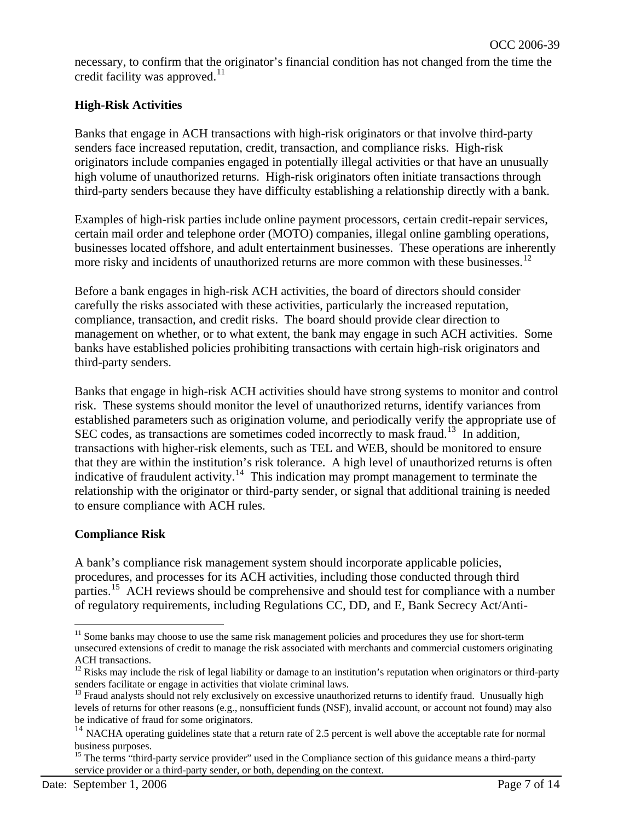necessary, to confirm that the originator's financial condition has not changed from the time the credit facility was approved. $^{11}$  $^{11}$  $^{11}$ 

# **High-Risk Activities**

Banks that engage in ACH transactions with high-risk originators or that involve third-party senders face increased reputation, credit, transaction, and compliance risks. High-risk originators include companies engaged in potentially illegal activities or that have an unusually high volume of unauthorized returns. High-risk originators often initiate transactions through third-party senders because they have difficulty establishing a relationship directly with a bank.

Examples of high-risk parties include online payment processors, certain credit-repair services, certain mail order and telephone order (MOTO) companies, illegal online gambling operations, businesses located offshore, and adult entertainment businesses. These operations are inherently more risky and incidents of unauthorized returns are more common with these businesses.<sup>[12](#page-6-1)</sup>

Before a bank engages in high-risk ACH activities, the board of directors should consider carefully the risks associated with these activities, particularly the increased reputation, compliance, transaction, and credit risks. The board should provide clear direction to management on whether, or to what extent, the bank may engage in such ACH activities. Some banks have established policies prohibiting transactions with certain high-risk originators and third-party senders.

Banks that engage in high-risk ACH activities should have strong systems to monitor and control risk. These systems should monitor the level of unauthorized returns, identify variances from established parameters such as origination volume, and periodically verify the appropriate use of SEC codes, as transactions are sometimes coded incorrectly to mask fraud.<sup>[13](#page-6-2)</sup> In addition, transactions with higher-risk elements, such as TEL and WEB, should be monitored to ensure that they are within the institution's risk tolerance. A high level of unauthorized returns is often indicative of fraudulent activity.<sup>[14](#page-6-3)</sup> This indication may prompt management to terminate the relationship with the originator or third-party sender, or signal that additional training is needed to ensure compliance with ACH rules.

# **Compliance Risk**

A bank's compliance risk management system should incorporate applicable policies, procedures, and processes for its ACH activities, including those conducted through third parties.<sup>[15](#page-6-4)</sup> ACH reviews should be comprehensive and should test for compliance with a number of regulatory requirements, including Regulations CC, DD, and E, Bank Secrecy Act/Anti-

<span id="page-6-0"></span> $<sup>11</sup>$  Some banks may choose to use the same risk management policies and procedures they use for short-term</sup> unsecured extensions of credit to manage the risk associated with merchants and commercial customers originating ACH transactions.

<span id="page-6-1"></span> $12$  Risks may include the risk of legal liability or damage to an institution's reputation when originators or third-party senders facilitate or engage in activities that violate criminal laws.

<span id="page-6-2"></span><sup>&</sup>lt;sup>13</sup> Fraud analysts should not rely exclusively on excessive unauthorized returns to identify fraud. Unusually high levels of returns for other reasons (e.g., nonsufficient funds (NSF), invalid account, or account not found) may also be indicative of fraud for some originators.

<span id="page-6-3"></span> $14$  NACHA operating guidelines state that a return rate of 2.5 percent is well above the acceptable rate for normal business purposes.

<span id="page-6-4"></span><sup>&</sup>lt;sup>15</sup> The terms "third-party service provider" used in the Compliance section of this guidance means a third-party service provider or a third-party sender, or both, depending on the context.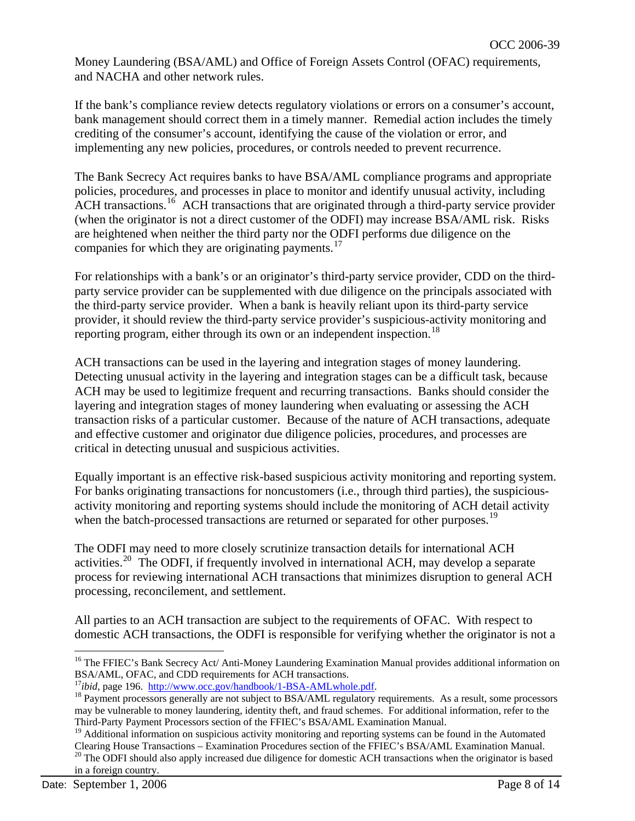Money Laundering (BSA/AML) and Office of Foreign Assets Control (OFAC) requirements, and NACHA and other network rules.

If the bank's compliance review detects regulatory violations or errors on a consumer's account, bank management should correct them in a timely manner. Remedial action includes the timely crediting of the consumer's account, identifying the cause of the violation or error, and implementing any new policies, procedures, or controls needed to prevent recurrence.

The Bank Secrecy Act requires banks to have BSA/AML compliance programs and appropriate policies, procedures, and processes in place to monitor and identify unusual activity, including ACH transactions.[16](#page-7-0) ACH transactions that are originated through a third-party service provider (when the originator is not a direct customer of the ODFI) may increase BSA/AML risk. Risks are heightened when neither the third party nor the ODFI performs due diligence on the companies for which they are originating payments.<sup>[17](#page-7-1)</sup>

For relationships with a bank's or an originator's third-party service provider, CDD on the thirdparty service provider can be supplemented with due diligence on the principals associated with the third-party service provider. When a bank is heavily reliant upon its third-party service provider, it should review the third-party service provider's suspicious-activity monitoring and reporting program, either through its own or an independent inspection.<sup>[18](#page-7-2)</sup>

ACH transactions can be used in the layering and integration stages of money laundering. Detecting unusual activity in the layering and integration stages can be a difficult task, because ACH may be used to legitimize frequent and recurring transactions. Banks should consider the layering and integration stages of money laundering when evaluating or assessing the ACH transaction risks of a particular customer. Because of the nature of ACH transactions, adequate and effective customer and originator due diligence policies, procedures, and processes are critical in detecting unusual and suspicious activities.

Equally important is an effective risk-based suspicious activity monitoring and reporting system. For banks originating transactions for noncustomers (i.e., through third parties), the suspiciousactivity monitoring and reporting systems should include the monitoring of ACH detail activity when the batch-processed transactions are returned or separated for other purposes.<sup>[19](#page-7-3)</sup>

The ODFI may need to more closely scrutinize transaction details for international ACH activities.<sup>[20](#page-7-4)</sup> The ODFI, if frequently involved in international ACH, may develop a separate process for reviewing international ACH transactions that minimizes disruption to general ACH processing, reconcilement, and settlement.

All parties to an ACH transaction are subject to the requirements of OFAC. With respect to domestic ACH transactions, the ODFI is responsible for verifying whether the originator is not a

<span id="page-7-0"></span><sup>&</sup>lt;sup>16</sup> The FFIEC's Bank Secrecy Act/ Anti-Money Laundering Examination Manual provides additional information on BSA/AML, OFAC, and CDD requirements for ACH transactions.<br><sup>17</sup>*ibid*, page 196. http://www.occ.gov/handbook/1-BSA-AMLwhole.pdf.

<span id="page-7-2"></span><span id="page-7-1"></span><sup>&</sup>lt;sup>18</sup> Payment processors generally are not subject to BSA/AML regulatory requirements. As a result, some processors may be vulnerable to money laundering, identity theft, and fraud schemes. For additional information, refer to the Third-Party Payment Processors section of the FFIEC's BSA/AML Examination Manual.

<span id="page-7-4"></span><span id="page-7-3"></span><sup>&</sup>lt;sup>19</sup> Additional information on suspicious activity monitoring and reporting systems can be found in the Automated Clearing House Transactions – Examination Procedures section of the FFIEC's BSA/AML Examination Manual. <sup>20</sup> The ODFI should also apply increased due diligence for domestic ACH transactions when the originator is based in a foreign country.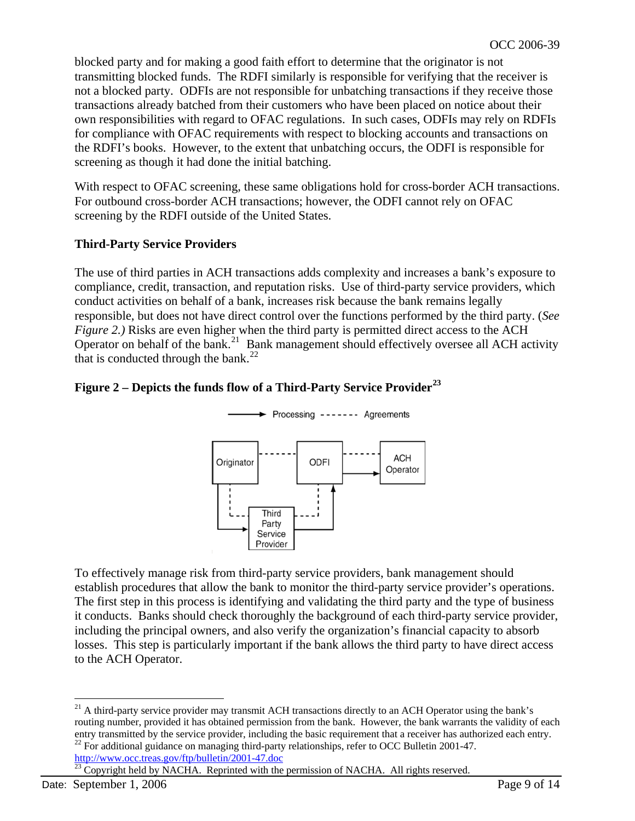blocked party and for making a good faith effort to determine that the originator is not transmitting blocked funds. The RDFI similarly is responsible for verifying that the receiver is not a blocked party. ODFIs are not responsible for unbatching transactions if they receive those transactions already batched from their customers who have been placed on notice about their own responsibilities with regard to OFAC regulations. In such cases, ODFIs may rely on RDFIs for compliance with OFAC requirements with respect to blocking accounts and transactions on the RDFI's books. However, to the extent that unbatching occurs, the ODFI is responsible for screening as though it had done the initial batching.

With respect to OFAC screening, these same obligations hold for cross-border ACH transactions. For outbound cross-border ACH transactions; however, the ODFI cannot rely on OFAC screening by the RDFI outside of the United States.

### **Third-Party Service Providers**

The use of third parties in ACH transactions adds complexity and increases a bank's exposure to compliance, credit, transaction, and reputation risks. Use of third-party service providers, which conduct activities on behalf of a bank, increases risk because the bank remains legally responsible, but does not have direct control over the functions performed by the third party. (*See Figure 2.)* Risks are even higher when the third party is permitted direct access to the ACH Operator on behalf of the bank.<sup>[21](#page-8-0)</sup> Bank management should effectively oversee all ACH activity that is conducted through the bank. $^{22}$  $^{22}$  $^{22}$ 

# **Figure 2 – Depicts the funds flow of a Third-Party Service Provider[23](#page-8-2)**



To effectively manage risk from third-party service providers, bank management should establish procedures that allow the bank to monitor the third-party service provider's operations. The first step in this process is identifying and validating the third party and the type of business it conducts. Banks should check thoroughly the background of each third-party service provider, including the principal owners, and also verify the organization's financial capacity to absorb losses. This step is particularly important if the bank allows the third party to have direct access to the ACH Operator.

<span id="page-8-2"></span><span id="page-8-1"></span><http://www.occ.treas.gov/ftp/bulletin/2001-47.doc><br><sup>23</sup> Copyright held by NACHA. Reprinted with the permission of NACHA. All rights reserved.

<span id="page-8-0"></span> $\overline{a}$  $21$  A third-party service provider may transmit ACH transactions directly to an ACH Operator using the bank's routing number, provided it has obtained permission from the bank. However, the bank warrants the validity of each entry transmitted by the service provider, including the basic requirement that a receiver has authorized each entry.<br><sup>22</sup> For additional guidance on managing third-party relationships, refer to OCC Bulletin 2001-47.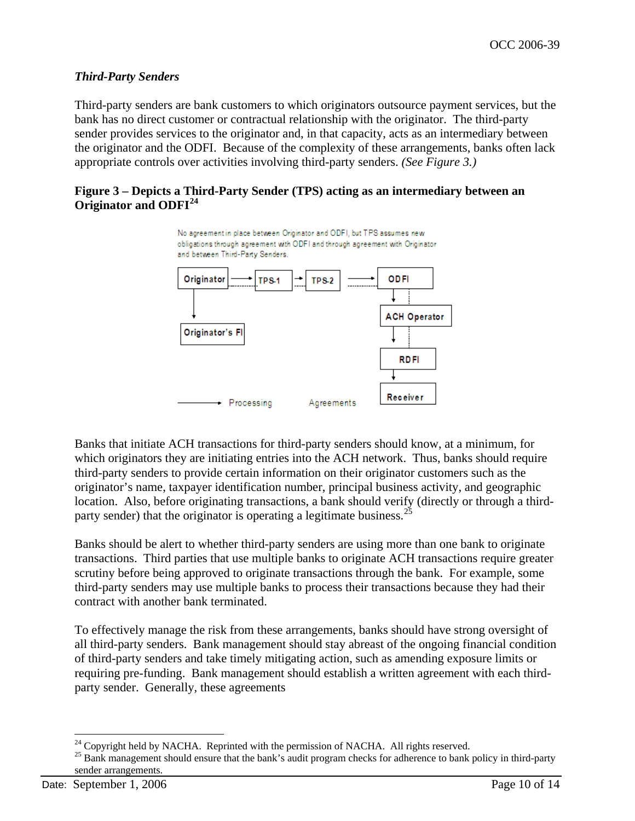### *Third-Party Senders*

Third-party senders are bank customers to which originators outsource payment services, but the bank has no direct customer or contractual relationship with the originator. The third-party sender provides services to the originator and, in that capacity, acts as an intermediary between the originator and the ODFI. Because of the complexity of these arrangements, banks often lack appropriate controls over activities involving third-party senders. *(See Figure 3.)*

#### **Figure 3 – Depicts a Third-Party Sender (TPS) acting as an intermediary between an Originator and ODFI[24](#page-9-0)**



Banks that initiate ACH transactions for third-party senders should know, at a minimum, for which originators they are initiating entries into the ACH network. Thus, banks should require third-party senders to provide certain information on their originator customers such as the originator's name, taxpayer identification number, principal business activity, and geographic location. Also, before originating transactions, a bank should verify (directly or through a third-party sender) that the originator is operating a legitimate business.<sup>[25](#page-9-1)</sup>

Banks should be alert to whether third-party senders are using more than one bank to originate transactions. Third parties that use multiple banks to originate ACH transactions require greater scrutiny before being approved to originate transactions through the bank. For example, some third-party senders may use multiple banks to process their transactions because they had their contract with another bank terminated.

To effectively manage the risk from these arrangements, banks should have strong oversight of all third-party senders. Bank management should stay abreast of the ongoing financial condition of third-party senders and take timely mitigating action, such as amending exposure limits or requiring pre-funding. Bank management should establish a written agreement with each thirdparty sender. Generally, these agreements

<span id="page-9-0"></span> $24$  Copyright held by NACHA. Reprinted with the permission of NACHA. All rights reserved.

<span id="page-9-1"></span><sup>&</sup>lt;sup>25</sup> Bank management should ensure that the bank's audit program checks for adherence to bank policy in third-party sender arrangements.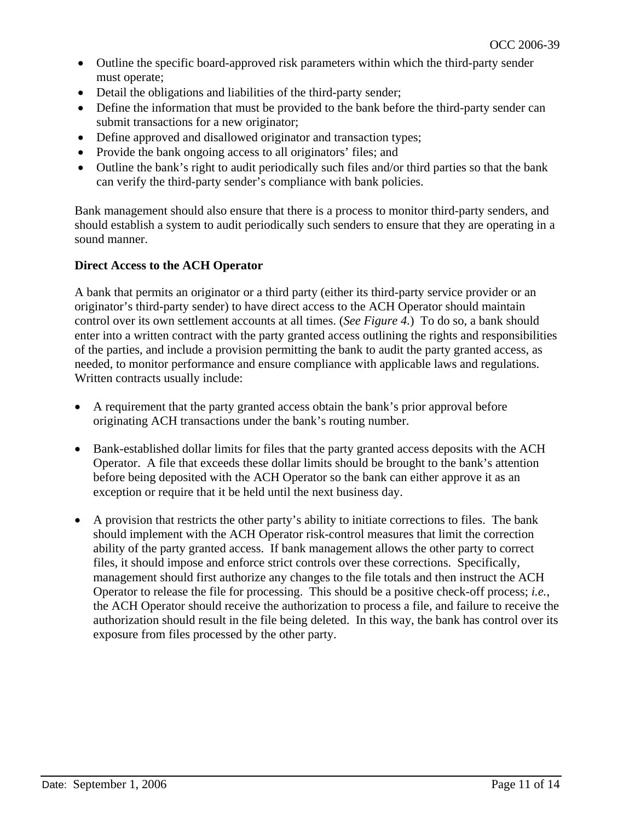- Outline the specific board-approved risk parameters within which the third-party sender must operate;
- Detail the obligations and liabilities of the third-party sender;
- Define the information that must be provided to the bank before the third-party sender can submit transactions for a new originator;
- Define approved and disallowed originator and transaction types;
- Provide the bank ongoing access to all originators' files; and
- Outline the bank's right to audit periodically such files and/or third parties so that the bank can verify the third-party sender's compliance with bank policies.

Bank management should also ensure that there is a process to monitor third-party senders, and should establish a system to audit periodically such senders to ensure that they are operating in a sound manner.

# **Direct Access to the ACH Operator**

A bank that permits an originator or a third party (either its third-party service provider or an originator's third-party sender) to have direct access to the ACH Operator should maintain control over its own settlement accounts at all times. (*See Figure 4.*) To do so, a bank should enter into a written contract with the party granted access outlining the rights and responsibilities of the parties, and include a provision permitting the bank to audit the party granted access, as needed, to monitor performance and ensure compliance with applicable laws and regulations. Written contracts usually include:

- A requirement that the party granted access obtain the bank's prior approval before originating ACH transactions under the bank's routing number.
- Bank-established dollar limits for files that the party granted access deposits with the ACH Operator. A file that exceeds these dollar limits should be brought to the bank's attention before being deposited with the ACH Operator so the bank can either approve it as an exception or require that it be held until the next business day.
- A provision that restricts the other party's ability to initiate corrections to files. The bank should implement with the ACH Operator risk-control measures that limit the correction ability of the party granted access. If bank management allows the other party to correct files, it should impose and enforce strict controls over these corrections. Specifically, management should first authorize any changes to the file totals and then instruct the ACH Operator to release the file for processing. This should be a positive check-off process; *i.e.*, the ACH Operator should receive the authorization to process a file, and failure to receive the authorization should result in the file being deleted. In this way, the bank has control over its exposure from files processed by the other party.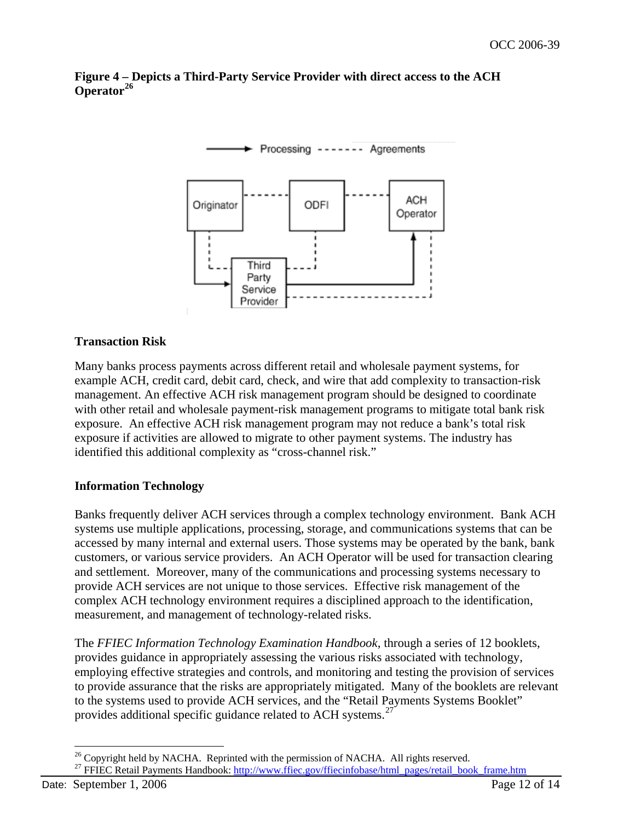#### **Figure 4 – Depicts a Third-Party Service Provider with direct access to the ACH Operator[26](#page-11-0)**



# **Transaction Risk**

Many banks process payments across different retail and wholesale payment systems, for example ACH, credit card, debit card, check, and wire that add complexity to transaction-risk management. An effective ACH risk management program should be designed to coordinate with other retail and wholesale payment-risk management programs to mitigate total bank risk exposure. An effective ACH risk management program may not reduce a bank's total risk exposure if activities are allowed to migrate to other payment systems. The industry has identified this additional complexity as "cross-channel risk."

#### **Information Technology**

Banks frequently deliver ACH services through a complex technology environment. Bank ACH systems use multiple applications, processing, storage, and communications systems that can be accessed by many internal and external users. Those systems may be operated by the bank, bank customers, or various service providers. An ACH Operator will be used for transaction clearing and settlement. Moreover, many of the communications and processing systems necessary to provide ACH services are not unique to those services. Effective risk management of the complex ACH technology environment requires a disciplined approach to the identification, measurement, and management of technology-related risks.

The *FFIEC Information Technology Examination Handbook*, through a series of 12 booklets, provides guidance in appropriately assessing the various risks associated with technology, employing effective strategies and controls, and monitoring and testing the provision of services to provide assurance that the risks are appropriately mitigated. Many of the booklets are relevant to the systems used to provide ACH services, and the "Retail Payments Systems Booklet" provides additional specific guidance related to ACH systems.<sup>[27](#page-11-1)</sup>

 $\overline{a}$  $26$  Copyright held by NACHA. Reprinted with the permission of NACHA. All rights reserved.

<span id="page-11-1"></span><span id="page-11-0"></span><sup>&</sup>lt;sup>27</sup> FFIEC Retail Payments Handbook: http://www.ffiec.gov/ffiecinfobase/html\_pages/retail\_book\_frame.htm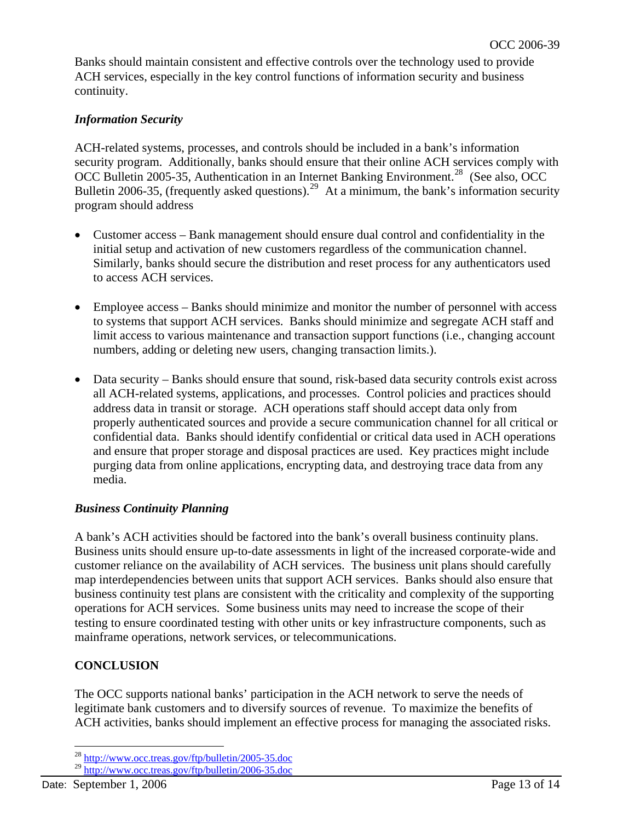Banks should maintain consistent and effective controls over the technology used to provide ACH services, especially in the key control functions of information security and business continuity.

# *Information Security*

ACH-related systems, processes, and controls should be included in a bank's information security program. Additionally, banks should ensure that their online ACH services comply with OCC Bulletin 2005-35, Authentication in an Internet Banking Environment.<sup>[28](#page-12-0)</sup> (See also, OCC Bulletin 2006-35, (frequently asked questions).<sup>[29](#page-12-1)</sup> At a minimum, the bank's information security program should address

- Customer access Bank management should ensure dual control and confidentiality in the initial setup and activation of new customers regardless of the communication channel. Similarly, banks should secure the distribution and reset process for any authenticators used to access ACH services.
- Employee access Banks should minimize and monitor the number of personnel with access to systems that support ACH services. Banks should minimize and segregate ACH staff and limit access to various maintenance and transaction support functions (i.e., changing account numbers, adding or deleting new users, changing transaction limits.).
- Data security Banks should ensure that sound, risk-based data security controls exist across all ACH-related systems, applications, and processes. Control policies and practices should address data in transit or storage. ACH operations staff should accept data only from properly authenticated sources and provide a secure communication channel for all critical or confidential data. Banks should identify confidential or critical data used in ACH operations and ensure that proper storage and disposal practices are used. Key practices might include purging data from online applications, encrypting data, and destroying trace data from any media.

# *Business Continuity Planning*

A bank's ACH activities should be factored into the bank's overall business continuity plans. Business units should ensure up-to-date assessments in light of the increased corporate-wide and customer reliance on the availability of ACH services. The business unit plans should carefully map interdependencies between units that support ACH services. Banks should also ensure that business continuity test plans are consistent with the criticality and complexity of the supporting operations for ACH services. Some business units may need to increase the scope of their testing to ensure coordinated testing with other units or key infrastructure components, such as mainframe operations, network services, or telecommunications.

# **CONCLUSION**

The OCC supports national banks' participation in the ACH network to serve the needs of legitimate bank customers and to diversify sources of revenue. To maximize the benefits of ACH activities, banks should implement an effective process for managing the associated risks.

<sup>&</sup>lt;sup>28</sup> <http://www.occ.treas.gov/ftp/bulletin/2005-35.doc>

<span id="page-12-1"></span><span id="page-12-0"></span><sup>&</sup>lt;sup>29</sup> <http://www.occ.treas.gov/ftp/bulletin/2006-35.doc>